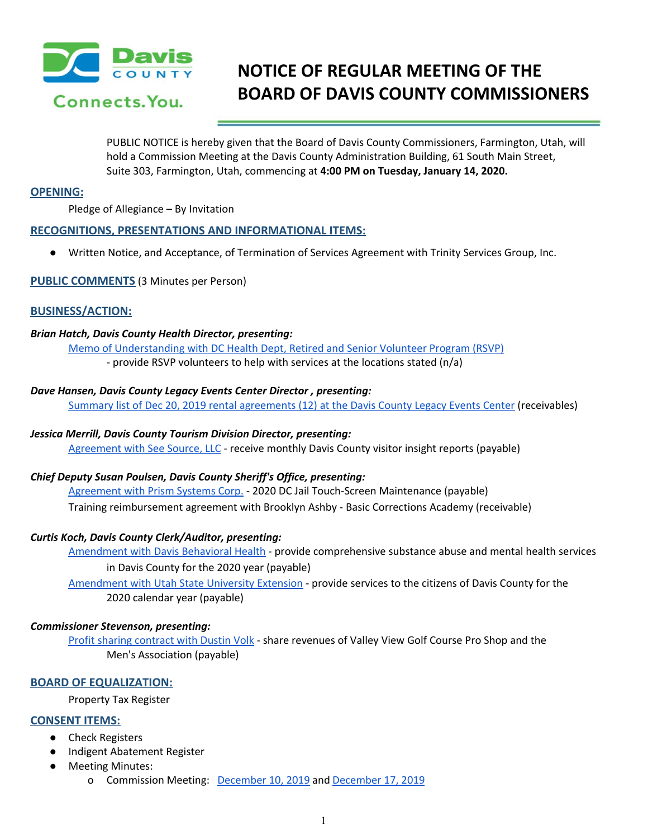

# **NOTICE OF REGULAR MEETING OF THE BOARD OF DAVIS COUNTY COMMISSIONERS**

PUBLIC NOTICE is hereby given that the Board of Davis County Commissioners, Farmington, Utah, will hold a Commission Meeting at the Davis County Administration Building, 61 South Main Street, Suite 303, Farmington, Utah, commencing at **4:00 PM on Tuesday, January 14, 2020.**

## **OPENING:**

Pledge of Allegiance – By Invitation

# **RECOGNITIONS, PRESENTATIONS AND INFORMATIONAL ITEMS:**

● Written Notice, and Acceptance, of [Termination](https://drive.google.com/a/co.davis.ut.us/file/d/1ewzJZpiNwAoZ2jXnkgJQGOWYbHxne7wW/view?usp=drivesdk) of Services Agreement with Trinity Services Group, Inc.

#### **PUBLIC COMMENTS** (3 Minutes per Person)

# **BUSINESS/ACTION:**

#### *Brian Hatch, Davis County Health Director, presenting:*

Memo of [Understanding](https://drive.google.com/a/co.davis.ut.us/file/d/1sL27JC3veBG68H8YkoiiJddNesYU3Cod/view?usp=drivesdk) with DC Health Dept, Retired and Senior Volunteer Program (RSVP) - provide RSVP volunteers to help with services at the locations stated (n/a)

#### *Dave Hansen, Davis County Legacy Events Center Director , presenting:*

Summary list of Dec 20, 2019 rental [agreements](https://drive.google.com/a/co.davis.ut.us/file/d/1S0azxmF_t7Hxs3ry_PQrRxUPH4jn-Mje/view?usp=drivesdk) (12) at the Davis County Legacy Events Center (receivables)

# *Jessica Merrill, Davis County Tourism Division Director, presenting:*

[Agreement](https://drive.google.com/a/co.davis.ut.us/file/d/1Uz0g4ndQBWCvG4gisQfRoaMNF7y67mOn/view?usp=drivesdk) with See Source, LLC - receive monthly Davis County visitor insight reports (payable)

# *Chief Deputy Susan Poulsen, Davis County Sheriff's Office, presenting:*

[Agreement](https://drive.google.com/a/co.davis.ut.us/file/d/1w3OlRhnpA1K02gQtd8ERJdBT2itix78r/view?usp=drivesdk) with Prism Systems Corp. - 2020 DC Jail Touch-Screen Maintenance (payable) Training [reimbursement](https://drive.google.com/a/co.davis.ut.us/file/d/102YCcwMPsRMPipsWwOXRRxpKZbv2vu4V/view?usp=drivesdk) agreement with Brooklyn Ashby - Basic Corrections Academy (receivable)

#### *Curtis Koch, Davis County Clerk/Auditor, presenting:*

[Amendment](https://drive.google.com/a/co.davis.ut.us/file/d/1g2ObITjfzMn7JBw97tfaztMVkXDAPV7g/view?usp=drivesdk) with Davis Behavioral Health - provide comprehensive substance abuse and mental health services in Davis County for the 2020 year (payable)

[Amendment](https://drive.google.com/a/co.davis.ut.us/file/d/1abWLKAxqpouYEXdU6ACbdy4lwJtr5fib/view?usp=drivesdk) with Utah State University Extension - provide services to the citizens of Davis County for the 2020 calendar year (payable)

#### *Commissioner Stevenson, presenting:*

Profit sharing [contract](https://drive.google.com/a/co.davis.ut.us/file/d/105IlwvYW5OAcJdtPzK5UNd02nmvwdQp-/view?usp=drivesdk) with Dustin Volk - share revenues of Valley View Golf Course Pro Shop and the Men's Association (payable)

# **BOARD OF EQUALIZATION:**

Property Tax Register

# **CONSENT ITEMS:**

- Check Registers
- Indigent Abatement Register
- Meeting Minutes:
	- o Commission Meeting: [December](https://drive.google.com/a/co.davis.ut.us/file/d/1PAPl7C2_ayMaghs6wtTFLHycYonzyokQ/view?usp=drivesdk) 10, 2019 and [December](https://drive.google.com/a/co.davis.ut.us/file/d/1QDvJGDQJCeqS-ed-HFLfiGntUqUe6YLi/view?usp=drivesdk) 17, 2019